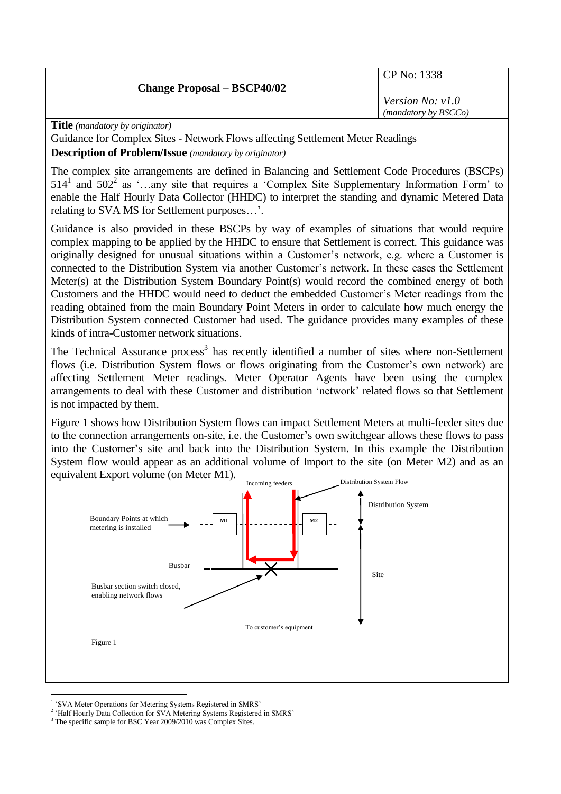|                                                   | $\vert$ CP No: 1338                |
|---------------------------------------------------|------------------------------------|
| <b>Change Proposal – BSCP40/02</b>                |                                    |
|                                                   | <i>Version No:</i> $v1.0$          |
|                                                   | $\frac{1}{2}$ (mandatory by BSCCo) |
| $\mathbf{H}$ ( <i>most later large matrices</i> ) |                                    |

**Title** *(mandatory by originator)*

Guidance for Complex Sites - Network Flows affecting Settlement Meter Readings

**Description of Problem/Issue** *(mandatory by originator)*

The complex site arrangements are defined in Balancing and Settlement Code Procedures (BSCPs)  $514<sup>1</sup>$  and  $502<sup>2</sup>$  as '...any site that requires a 'Complex Site Supplementary Information Form' to enable the Half Hourly Data Collector (HHDC) to interpret the standing and dynamic Metered Data relating to SVA MS for Settlement purposes…'.

Guidance is also provided in these BSCPs by way of examples of situations that would require complex mapping to be applied by the HHDC to ensure that Settlement is correct. This guidance was originally designed for unusual situations within a Customer's network, e.g. where a Customer is connected to the Distribution System via another Customer's network. In these cases the Settlement Meter(s) at the Distribution System Boundary Point(s) would record the combined energy of both Customers and the HHDC would need to deduct the embedded Customer's Meter readings from the reading obtained from the main Boundary Point Meters in order to calculate how much energy the Distribution System connected Customer had used. The guidance provides many examples of these kinds of intra-Customer network situations.

The Technical Assurance process<sup>3</sup> has recently identified a number of sites where non-Settlement flows (i.e. Distribution System flows or flows originating from the Customer's own network) are affecting Settlement Meter readings. Meter Operator Agents have been using the complex arrangements to deal with these Customer and distribution 'network' related flows so that Settlement is not impacted by them.

Figure 1 shows how Distribution System flows can impact Settlement Meters at multi-feeder sites due to the connection arrangements on-site, i.e. the Customer's own switchgear allows these flows to pass into the Customer's site and back into the Distribution System. In this example the Distribution System flow would appear as an additional volume of Import to the site (on Meter M2) and as an equivalent Export volume (on Meter M1).



<sup>&</sup>lt;sup>1</sup> 'SVA Meter Operations for Metering Systems Registered in SMRS'

1

<sup>&</sup>lt;sup>2</sup> 'Half Hourly Data Collection for SVA Metering Systems Registered in SMRS'

<sup>&</sup>lt;sup>3</sup> The specific sample for BSC Year 2009/2010 was Complex Sites.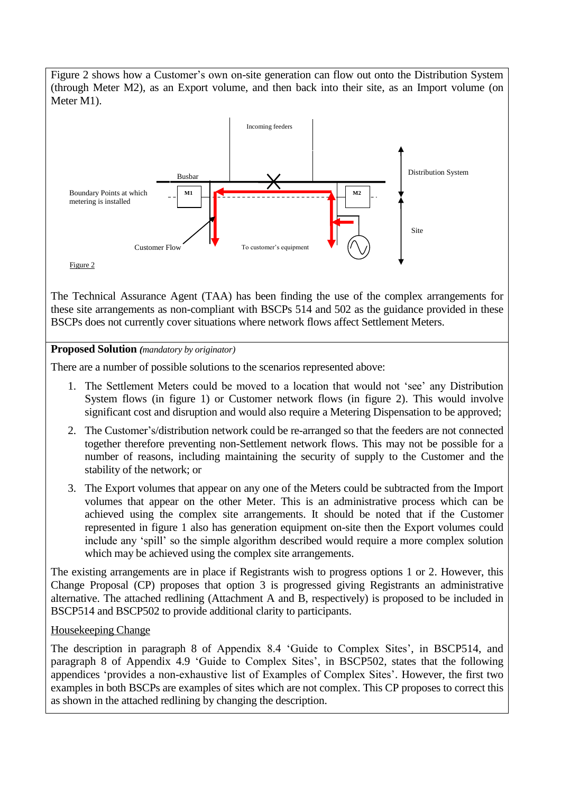Figure 2 shows how a Customer's own on-site generation can flow out onto the Distribution System (through Meter M2), as an Export volume, and then back into their site, as an Import volume (on Meter M1).



The Technical Assurance Agent (TAA) has been finding the use of the complex arrangements for these site arrangements as non-compliant with BSCPs 514 and 502 as the guidance provided in these BSCPs does not currently cover situations where network flows affect Settlement Meters.

## **Proposed Solution** *(mandatory by originator)*

There are a number of possible solutions to the scenarios represented above:

- 1. The Settlement Meters could be moved to a location that would not 'see' any Distribution System flows (in figure 1) or Customer network flows (in figure 2). This would involve significant cost and disruption and would also require a Metering Dispensation to be approved;
- 2. The Customer's/distribution network could be re-arranged so that the feeders are not connected together therefore preventing non-Settlement network flows. This may not be possible for a number of reasons, including maintaining the security of supply to the Customer and the stability of the network; or
- 3. The Export volumes that appear on any one of the Meters could be subtracted from the Import volumes that appear on the other Meter. This is an administrative process which can be achieved using the complex site arrangements. It should be noted that if the Customer represented in figure 1 also has generation equipment on-site then the Export volumes could include any 'spill' so the simple algorithm described would require a more complex solution which may be achieved using the complex site arrangements.

The existing arrangements are in place if Registrants wish to progress options 1 or 2. However, this Change Proposal (CP) proposes that option 3 is progressed giving Registrants an administrative alternative. The attached redlining (Attachment A and B, respectively) is proposed to be included in BSCP514 and BSCP502 to provide additional clarity to participants.

## Housekeeping Change

The description in paragraph 8 of Appendix 8.4 'Guide to Complex Sites', in BSCP514, and paragraph 8 of Appendix 4.9 'Guide to Complex Sites', in BSCP502, states that the following appendices 'provides a non-exhaustive list of Examples of Complex Sites'. However, the first two examples in both BSCPs are examples of sites which are not complex. This CP proposes to correct this as shown in the attached redlining by changing the description.